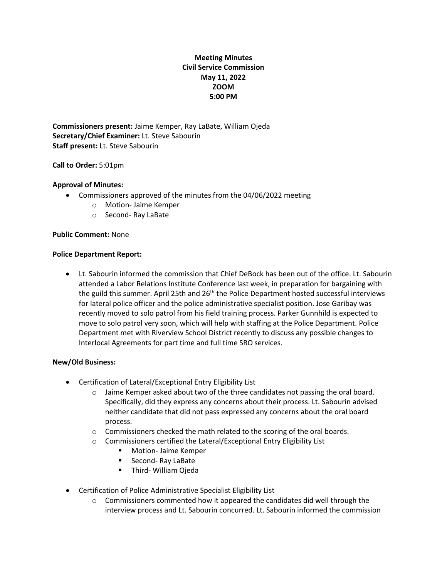# **Meeting Minutes Civil Service Commission May 11, 2022 ZOOM 5:00 PM**

**Commissioners present:** Jaime Kemper, Ray LaBate, William Ojeda **Secretary/Chief Examiner:** Lt. Steve Sabourin **Staff present:** Lt. Steve Sabourin

# **Call to Order:** 5:01pm

# **Approval of Minutes:**

- Commissioners approved of the minutes from the 04/06/2022 meeting
	- o Motion- Jaime Kemper
	- o Second- Ray LaBate

# **Public Comment:** None

#### **Police Department Report:**

• Lt. Sabourin informed the commission that Chief DeBock has been out of the office. Lt. Sabourin attended a Labor Relations Institute Conference last week, in preparation for bargaining with the guild this summer. April 25th and  $26<sup>th</sup>$  the Police Department hosted successful interviews for lateral police officer and the police administrative specialist position. Jose Garibay was recently moved to solo patrol from his field training process. Parker Gunnhild is expected to move to solo patrol very soon, which will help with staffing at the Police Department. Police Department met with Riverview School District recently to discuss any possible changes to Interlocal Agreements for part time and full time SRO services.

# **New/Old Business:**

- Certification of Lateral/Exceptional Entry Eligibility List
	- $\circ$  Jaime Kemper asked about two of the three candidates not passing the oral board. Specifically, did they express any concerns about their process. Lt. Sabourin advised neither candidate that did not pass expressed any concerns about the oral board process.
	- $\circ$  Commissioners checked the math related to the scoring of the oral boards.
	- o Commissioners certified the Lateral/Exceptional Entry Eligibility List
		- Motion- Jaime Kemper
		- Second- Ray LaBate
		- Third- William Ojeda
- Certification of Police Administrative Specialist Eligibility List
	- $\circ$  Commissioners commented how it appeared the candidates did well through the interview process and Lt. Sabourin concurred. Lt. Sabourin informed the commission